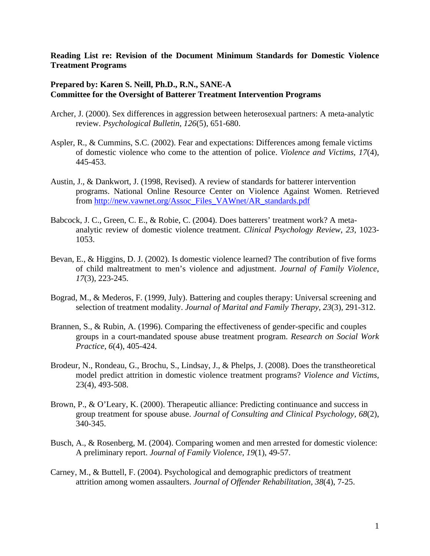## **Reading List re: Revision of the Document Minimum Standards for Domestic Violence Treatment Programs**

## **Prepared by: Karen S. Neill, Ph.D., R.N., SANE-A Committee for the Oversight of Batterer Treatment Intervention Programs**

- Archer, J. (2000). Sex differences in aggression between heterosexual partners: A meta-analytic review. *Psychological Bulletin*, *126*(5), 651-680.
- Aspler, R., & Cummins, S.C. (2002). Fear and expectations: Differences among female victims of domestic violence who come to the attention of police. *Violence and Victims, 17*(4), 445-453.
- Austin, J., & Dankwort, J. (1998, Revised). A review of standards for batterer intervention programs. National Online Resource Center on Violence Against Women. Retrieved from http://new.vawnet.org/Assoc\_Files\_VAWnet/AR\_standards.pdf
- Babcock, J. C., Green, C. E., & Robie, C. (2004). Does batterers' treatment work? A metaanalytic review of domestic violence treatment. *Clinical Psychology Review*, *23*, 1023- 1053.
- Bevan, E., & Higgins, D. J. (2002). Is domestic violence learned? The contribution of five forms of child maltreatment to men's violence and adjustment. *Journal of Family Violence*, *17*(3), 223-245.
- Bograd, M., & Mederos, F. (1999, July). Battering and couples therapy: Universal screening and selection of treatment modality. *Journal of Marital and Family Therapy, 23*(3)*,* 291-312.
- Brannen, S., & Rubin, A. (1996). Comparing the effectiveness of gender-specific and couples groups in a court-mandated spouse abuse treatment program. *Research on Social Work Practice, 6*(4), 405-424.
- Brodeur, N., Rondeau, G., Brochu, S., Lindsay, J., & Phelps, J. (2008). Does the transtheoretical model predict attrition in domestic violence treatment programs? *Violence and Victims,*  23(4), 493-508.
- Brown, P., & O'Leary, K. (2000). Therapeutic alliance: Predicting continuance and success in group treatment for spouse abuse. *Journal of Consulting and Clinical Psychology, 68*(2), 340-345.
- Busch, A., & Rosenberg, M. (2004). Comparing women and men arrested for domestic violence: A preliminary report. *Journal of Family Violence, 19*(1), 49-57.
- Carney, M., & Buttell, F. (2004). Psychological and demographic predictors of treatment attrition among women assaulters. *Journal of Offender Rehabilitation, 38*(4), 7-25.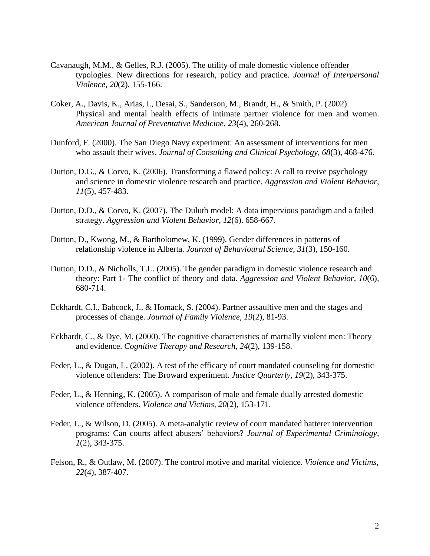- Cavanaugh, M.M., & Gelles, R.J. (2005). The utility of male domestic violence offender typologies. New directions for research, policy and practice. *Journal of Interpersonal Violence, 20*(2), 155-166.
- Coker, A., Davis, K., Arias, I., Desai, S., Sanderson, M., Brandt, H., & Smith, P. (2002). Physical and mental health effects of intimate partner violence for men and women. *American Journal of Preventative Medicine, 23*(4), 260-268.
- Dunford, F. (2000). The San Diego Navy experiment: An assessment of interventions for men who assault their wives. *Journal of Consulting and Clinical Psychology, 68*(3), 468-476.
- Dutton, D.G., & Corvo, K. (2006). Transforming a flawed policy: A call to revive psychology and science in domestic violence research and practice. *Aggression and Violent Behavior, 11*(5), 457-483.
- Dutton, D.D., & Corvo, K. (2007). The Duluth model: A data impervious paradigm and a failed strategy. *Aggression and Violent Behavior, 12*(6). 658-667.
- Dutton, D., Kwong, M., & Bartholomew, K. (1999). Gender differences in patterns of relationship violence in Alberta. *Journal of Behavioural Science, 31*(3), 150-160.
- Dutton, D.D., & Nicholls, T.L. (2005). The gender paradigm in domestic violence research and theory: Part 1- The conflict of theory and data. *Aggression and Violent Behavior, 10*(6)*,*  680-714.
- Eckhardt, C.I., Babcock, J., & Homack, S. (2004). Partner assaultive men and the stages and processes of change. *Journal of Family Violence, 19*(2), 81-93.
- Eckhardt, C., & Dye, M. (2000). The cognitive characteristics of martially violent men: Theory and evidence. *Cognitive Therapy and Research, 24*(2), 139-158.
- Feder, L., & Dugan, L. (2002). A test of the efficacy of court mandated counseling for domestic violence offenders: The Broward experiment. *Justice Quarterly, 19*(2), 343-375.
- Feder, L., & Henning, K. (2005). A comparison of male and female dually arrested domestic violence offenders. *Violence and Victims, 20*(2), 153-171.
- Feder, L., & Wilson, D. (2005). A meta-analytic review of court mandated batterer intervention programs: Can courts affect abusers' behaviors? *Journal of Experimental Criminology, 1*(2), 343-375.
- Felson, R., & Outlaw, M. (2007). The control motive and marital violence. *Violence and Victims, 22*(4), 387-407.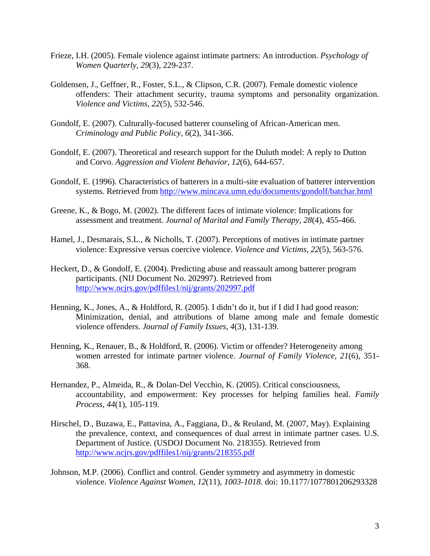- Frieze, I.H. (2005). Female violence against intimate partners: An introduction. *Psychology of Women Quarterly, 29*(3), 229-237.
- Goldensen, J., Geffner, R., Foster, S.L., & Clipson, C.R. (2007). Female domestic violence offenders: Their attachment security, trauma symptoms and personality organization. *Violence and Victims, 22*(5), 532-546.
- Gondolf, E. (2007). Culturally-focused batterer counseling of African-American men. *Criminology and Public Policy, 6*(2), 341-366.
- Gondolf, E. (2007). Theoretical and research support for the Duluth model: A reply to Dutton and Corvo. *Aggression and Violent Behavior, 12*(6), 644-657.
- Gondolf, E. (1996). Characteristics of batterers in a multi-site evaluation of batterer intervention systems. Retrieved from http://www.mincava.umn.edu/documents/gondolf/batchar.html
- Greene, K., & Bogo, M. (2002). The different faces of intimate violence: Implications for assessment and treatment. *Journal of Marital and Family Therapy, 28*(4), 455-466.
- Hamel, J., Desmarais, S.L., & Nicholls, T. (2007). Perceptions of motives in intimate partner violence: Expressive versus coercive violence. *Violence and Victims, 22*(5), 563-576.
- Heckert, D., & Gondolf, E. (2004). Predicting abuse and reassault among batterer program participants. (NIJ Document No. 202997). Retrieved from http://www.ncjrs.gov/pdffiles1/nij/grants/202997.pdf
- Henning, K., Jones, A., & Holdford, R. (2005). I didn't do it, but if I did I had good reason: Minimization, denial, and attributions of blame among male and female domestic violence offenders. *Journal of Family Issues, 4*(3), 131-139.
- Henning, K., Renauer, B., & Holdford, R. (2006). Victim or offender? Heterogeneity among women arrested for intimate partner violence. *Journal of Family Violence, 21*(6), 351- 368.
- Hernandez, P., Almeida, R., & Dolan-Del Vecchio, K. (2005). Critical consciousness, accountability, and empowerment: Key processes for helping families heal. *Family Process, 44*(1), 105-119.
- Hirschel, D., Buzawa, E., Pattavina, A., Faggiana, D., & Reuland, M. (2007, May). Explaining the prevalence, context, and consequences of dual arrest in intimate partner cases. U.S. Department of Justice. (USDOJ Document No. 218355). Retrieved from http://www.ncjrs.gov/pdffiles1/nij/grants/218355.pdf
- Johnson, M.P. (2006). Conflict and control. Gender symmetry and asymmetry in domestic violence. *Violence Against Women, 12*(11)*, 1003-1018.* doi: 10.1177/1077801206293328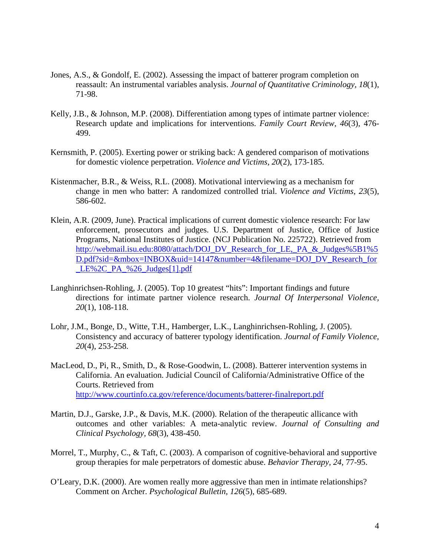- Jones, A.S., & Gondolf, E. (2002). Assessing the impact of batterer program completion on reassault: An instrumental variables analysis. *Journal of Quantitative Criminology, 18*(1), 71-98.
- Kelly, J.B., & Johnson, M.P. (2008). Differentiation among types of intimate partner violence: Research update and implications for interventions. *Family Court Review, 46*(3)*,* 476- 499.
- Kernsmith, P. (2005). Exerting power or striking back: A gendered comparison of motivations for domestic violence perpetration. *Violence and Victims, 20*(2), 173-185.
- Kistenmacher, B.R., & Weiss, R.L. (2008). Motivational interviewing as a mechanism for change in men who batter: A randomized controlled trial. *Violence and Victims, 23*(5), 586-602.
- Klein, A.R. (2009, June). Practical implications of current domestic violence research: For law enforcement, prosecutors and judges. U.S. Department of Justice, Office of Justice Programs, National Institutes of Justice. (NCJ Publication No. 225722). Retrieved from http://webmail.isu.edu:8080/attach/DOJ\_DV\_Research\_for\_LE,\_PA\_&\_Judges%5B1%5 D.pdf?sid=&mbox=INBOX&uid=14147&number=4&filename=DOJ\_DV\_Research\_for LE%2C\_PA\_%26\_Judges[1].pdf
- Langhinrichsen-Rohling, J. (2005). Top 10 greatest "hits": Important findings and future directions for intimate partner violence research. *Journal Of Interpersonal Violence, 20*(1), 108-118.
- Lohr, J.M., Bonge, D., Witte, T.H., Hamberger, L.K., Langhinrichsen-Rohling, J. (2005). Consistency and accuracy of batterer typology identification. *Journal of Family Violence, 20*(4), 253-258.
- MacLeod, D., Pi, R., Smith, D., & Rose-Goodwin, L. (2008). Batterer intervention systems in California. An evaluation. Judicial Council of California/Administrative Office of the Courts. Retrieved from http://www.courtinfo.ca.gov/reference/documents/batterer-finalreport.pdf
- Martin, D.J., Garske, J.P., & Davis, M.K. (2000). Relation of the therapeutic allicance with outcomes and other variables: A meta-analytic review. *Journal of Consulting and Clinical Psychology, 68*(3), 438-450.
- Morrel, T., Murphy, C., & Taft, C. (2003). A comparison of cognitive-behavioral and supportive group therapies for male perpetrators of domestic abuse. *Behavior Therapy, 24*, 77-95.
- O'Leary, D.K. (2000). Are women really more aggressive than men in intimate relationships? Comment on Archer. *Psychological Bulletin, 126*(5), 685-689.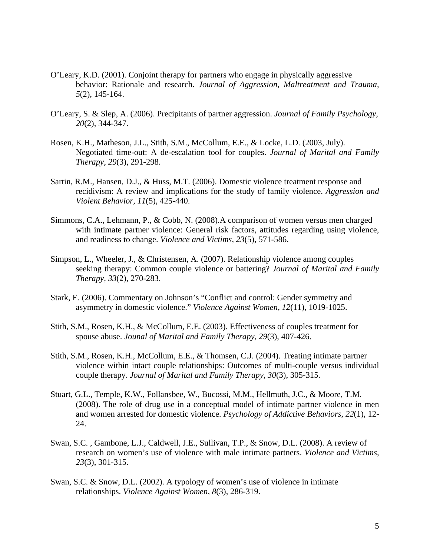- O'Leary, K.D. (2001). Conjoint therapy for partners who engage in physically aggressive behavior: Rationale and research. *Journal of Aggression, Maltreatment and Trauma, 5*(2), 145-164.
- O'Leary, S. & Slep, A. (2006). Precipitants of partner aggression. *Journal of Family Psychology, 20*(2), 344-347.
- Rosen, K.H., Matheson, J.L., Stith, S.M., McCollum, E.E., & Locke, L.D. (2003, July). Negotiated time-out: A de-escalation tool for couples. *Journal of Marital and Family Therapy, 29*(3), 291-298.
- Sartin, R.M., Hansen, D.J., & Huss, M.T. (2006). Domestic violence treatment response and recidivism: A review and implications for the study of family violence. *Aggression and Violent Behavior, 11*(5), 425-440.
- Simmons, C.A., Lehmann, P., & Cobb, N. (2008).A comparison of women versus men charged with intimate partner violence: General risk factors, attitudes regarding using violence, and readiness to change. *Violence and Victims, 23*(5), 571-586.
- Simpson, L., Wheeler, J., & Christensen, A. (2007). Relationship violence among couples seeking therapy: Common couple violence or battering? *Journal of Marital and Family Therapy, 33*(2), 270-283.
- Stark, E. (2006). Commentary on Johnson's "Conflict and control: Gender symmetry and asymmetry in domestic violence." *Violence Against Women, 12*(11), 1019-1025.
- Stith, S.M., Rosen, K.H., & McCollum, E.E. (2003). Effectiveness of couples treatment for spouse abuse. *Jounal of Marital and Family Therapy, 29*(3), 407-426.
- Stith, S.M., Rosen, K.H., McCollum, E.E., & Thomsen, C.J. (2004). Treating intimate partner violence within intact couple relationships: Outcomes of multi-couple versus individual couple therapy. *Journal of Marital and Family Therapy, 30*(3), 305-315.
- Stuart, G.L., Temple, K.W., Follansbee, W., Bucossi, M.M., Hellmuth, J.C., & Moore, T.M. (2008). The role of drug use in a conceptual model of intimate partner violence in men and women arrested for domestic violence. *Psychology of Addictive Behaviors, 22*(1), 12- 24.
- Swan, S.C. , Gambone, L.J., Caldwell, J.E., Sullivan, T.P., & Snow, D.L. (2008). A review of research on women's use of violence with male intimate partners. *Violence and Victims, 23*(3), 301-315.
- Swan, S.C. & Snow, D.L. (2002). A typology of women's use of violence in intimate relationships. *Violence Against Women, 8*(3), 286-319.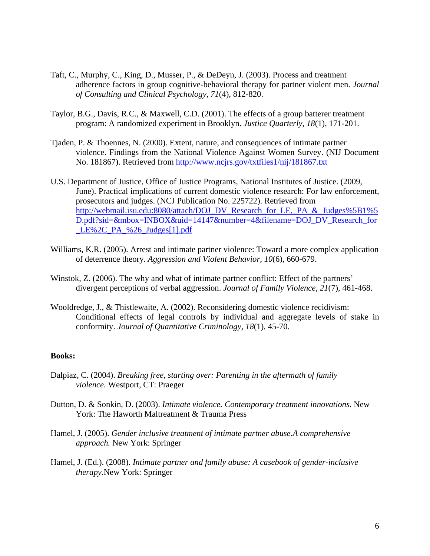- Taft, C., Murphy, C., King, D., Musser, P., & DeDeyn, J. (2003). Process and treatment adherence factors in group cognitive-behavioral therapy for partner violent men. *Journal of Consulting and Clinical Psychology, 71*(4), 812-820.
- Taylor, B.G., Davis, R.C., & Maxwell, C.D. (2001). The effects of a group batterer treatment program: A randomized experiment in Brooklyn. *Justice Quarterly, 18*(1), 171-201.
- Tjaden, P. & Thoennes, N. (2000). Extent, nature, and consequences of intimate partner violence. Findings from the National Violence Against Women Survey. (NIJ Document No. 181867). Retrieved from http://www.ncjrs.gov/txtfiles1/nij/181867.txt
- U.S. Department of Justice, Office of Justice Programs, National Institutes of Justice. (2009, June). Practical implications of current domestic violence research: For law enforcement, prosecutors and judges. (NCJ Publication No. 225722). Retrieved from http://webmail.isu.edu:8080/attach/DOJ\_DV\_Research\_for\_LE,\_PA\_&\_Judges%5B1%5 D.pdf?sid=&mbox=INBOX&uid=14147&number=4&filename=DOJ\_DV\_Research\_for \_LE%2C\_PA\_%26\_Judges[1].pdf
- Williams, K.R. (2005). Arrest and intimate partner violence: Toward a more complex application of deterrence theory. *Aggression and Violent Behavior, 10*(6), 660-679.
- Winstok, Z. (2006). The why and what of intimate partner conflict: Effect of the partners' divergent perceptions of verbal aggression. *Journal of Family Violence, 21*(7), 461-468.
- Wooldredge, J., & Thistlewaite, A. (2002). Reconsidering domestic violence recidivism: Conditional effects of legal controls by individual and aggregate levels of stake in conformity. *Journal of Quantitative Criminology, 18*(1), 45-70.

## **Books:**

- Dalpiaz, C. (2004). *Breaking free, starting over: Parenting in the aftermath of family violence.* Westport, CT: Praeger
- Dutton, D. & Sonkin, D. (2003). *Intimate violence. Contemporary treatment innovations.* New York: The Haworth Maltreatment & Trauma Press
- Hamel, J. (2005). *Gender inclusive treatment of intimate partner abuse.A comprehensive approach.* New York: Springer
- Hamel, J. (Ed.). (2008). *Intimate partner and family abuse: A casebook of gender-inclusive therapy.*New York: Springer